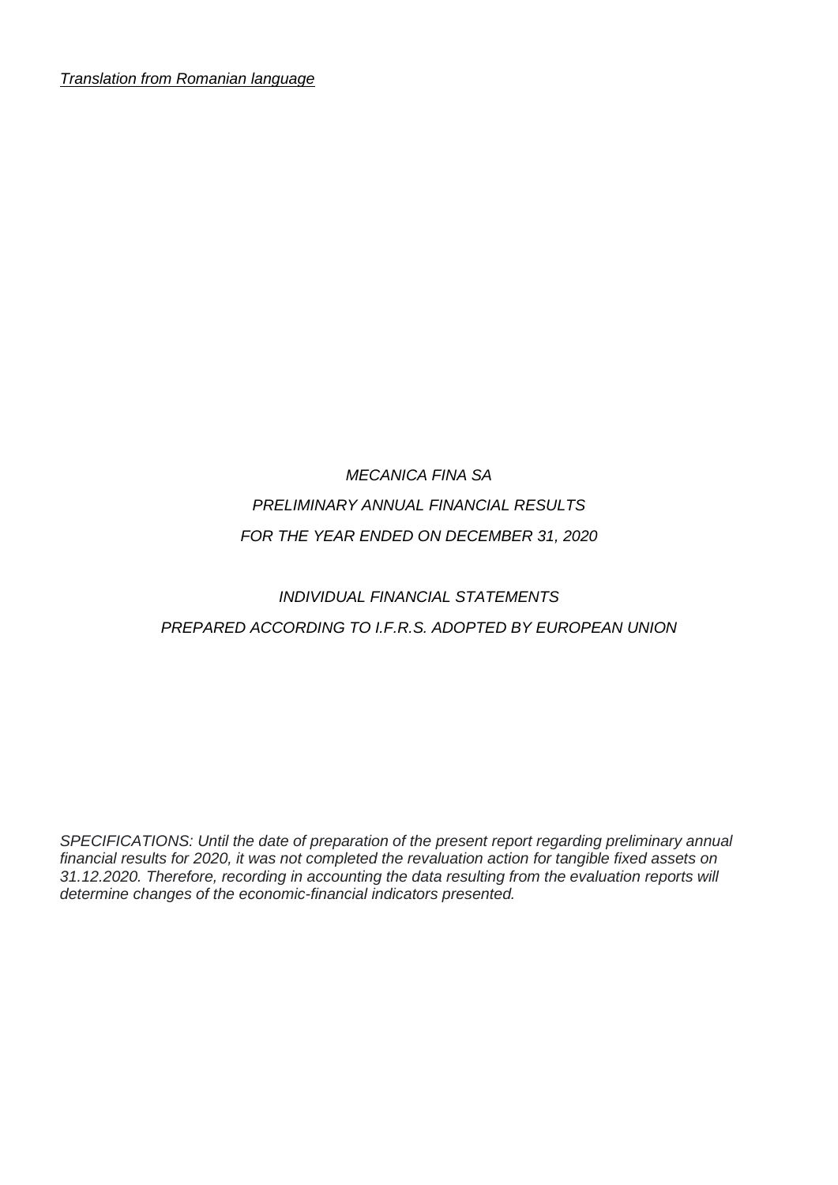*Translation from Romanian language*

## *MECANICA FINA SA PRELIMINARY ANNUAL FINANCIAL RESULTS FOR THE YEAR ENDED ON DECEMBER 31, 2020*

## *INDIVIDUAL FINANCIAL STATEMENTS PREPARED ACCORDING TO I.F.R.S. ADOPTED BY EUROPEAN UNION*

*SPECIFICATIONS: Until the date of preparation of the present report regarding preliminary annual financial results for 2020, it was not completed the revaluation action for tangible fixed assets on 31.12.2020. Therefore, recording in accounting the data resulting from the evaluation reports will determine changes of the economic-financial indicators presented.*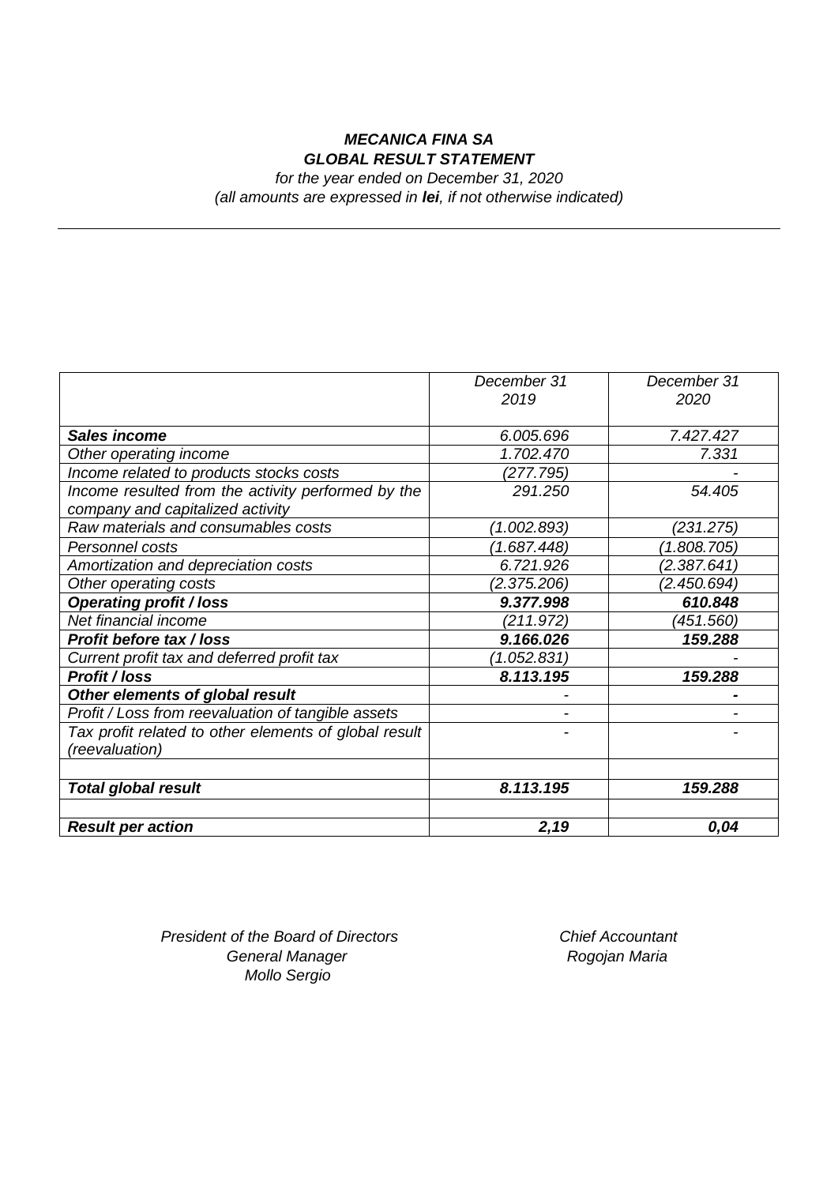## *MECANICA FINA SA GLOBAL RESULT STATEMENT*

*for the year ended on December 31, 2020 (all amounts are expressed in lei, if not otherwise indicated)*

|                                                       | December 31 | December 31 |
|-------------------------------------------------------|-------------|-------------|
|                                                       | 2019        | 2020        |
|                                                       |             |             |
| <b>Sales income</b>                                   | 6.005.696   | 7.427.427   |
| Other operating income                                | 1.702.470   | 7.331       |
| Income related to products stocks costs               | (277.795)   |             |
| Income resulted from the activity performed by the    | 291.250     | 54.405      |
| company and capitalized activity                      |             |             |
| Raw materials and consumables costs                   | (1.002.893) | (231.275)   |
| Personnel costs                                       | (1.687.448) | (1.808.705) |
| Amortization and depreciation costs                   | 6.721.926   | (2.387.641) |
| Other operating costs                                 | (2.375.206) | (2.450.694) |
| <b>Operating profit / loss</b>                        | 9.377.998   | 610.848     |
| Net financial income                                  | (211.972)   | (451.560)   |
| <b>Profit before tax / loss</b>                       | 9.166.026   | 159.288     |
| Current profit tax and deferred profit tax            | (1.052.831) |             |
| <b>Profit / loss</b>                                  | 8.113.195   | 159.288     |
| Other elements of global result                       |             |             |
| Profit / Loss from reevaluation of tangible assets    |             |             |
| Tax profit related to other elements of global result |             |             |
| (reevaluation)                                        |             |             |
|                                                       |             |             |
| <b>Total global result</b>                            | 8.113.195   | 159.288     |
|                                                       |             |             |
| <b>Result per action</b>                              | 2,19        | 0,04        |

*President of the Board of Directors Chief Accountant* **General Manager State Controller State Controller Rogojan Maria** *Mollo Sergio*